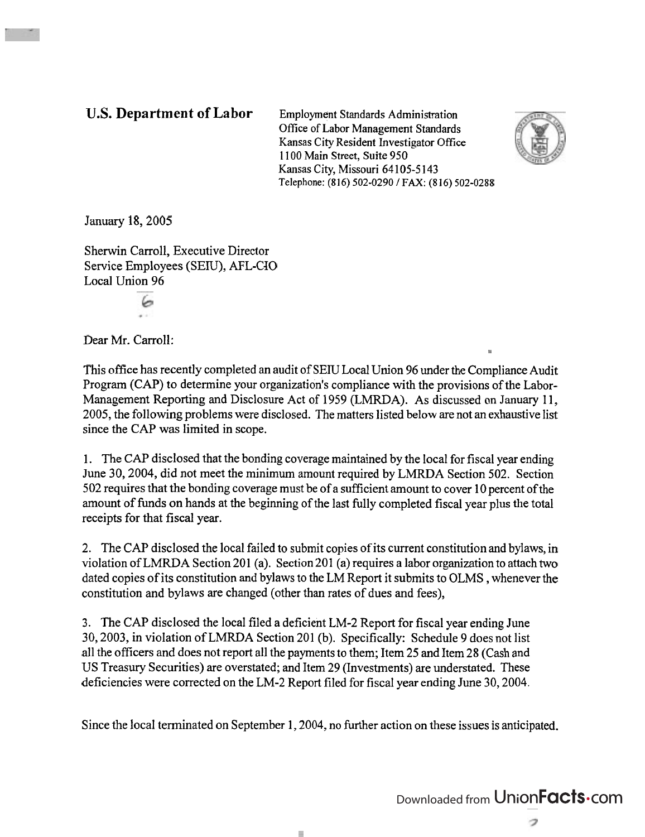**U.S. Department of Labor** Employment Standards Administration Office of Labor Management Standards Kansas City Resident Investigator Office **1** I00 Main Street, Suite **950**  Kansas City, Missouri **64 105-5** 143 **Telephone: (816) 502-0290 1 FAX: (8 16) 502-0288** 



January 18,2005

Sherwin Carroll, Executive Director Service Employees (SEW), AFL-CJO Local Union 96

ەك

Dear Mr. Carroll:

This office has recently completed an audit of SEW Local Union 96 under the Compliance Audit Program (CAP) to determine your organization's compliance with the provisions of the Labor-Management Reporting and Disclosure Act of 1959 (LMRDA). As discussed on January 11, 2005, the following problems were disclosed. The matters listed below are not an exhaustive list since the CAP was limited in scope.

1. The CAP disclosed that the bonding coverage maintained by the local for fiscal year ending June 30,2004, did not meet the minimum amount required by LMRDA Section 502. Section 502 requires that the bonding coverage must be of a sufficient amount to cover 10 percent of the amount of funds on hands at the beginning of the last fully completed fiscal year plus the total receipts for that fiscal year.

2. The CAP disclosed the local failed to submit copies of its current constitution and bylaws, in violation of LMRDA Section 201 (a). Section 201 (a) requires a labor organization to attach two dated copies of its constitution and bylaws to the LM Report it submits to OLMS , whenever the constitution and bylaws are changed (other than rates of dues and fees),

3. The CAP disclosed the local filed a deficient LM-2 Report for fiscal year ending June 30,2003, in violation of LMRDA Section 201 (b). Specifically: Schedule 9 does not list all the officers and does not report all the payments to them; Item 25 and Item 28 (Cash and US Treasury Securities) are overstated; and Item 29 (Investments) are understated. These deficiencies were corrected on the LM-2 Report filed for fiscal year ending June 30,2004.

Since the local terminated on September 1, 2004, no further action on these issues is anticipated.

T